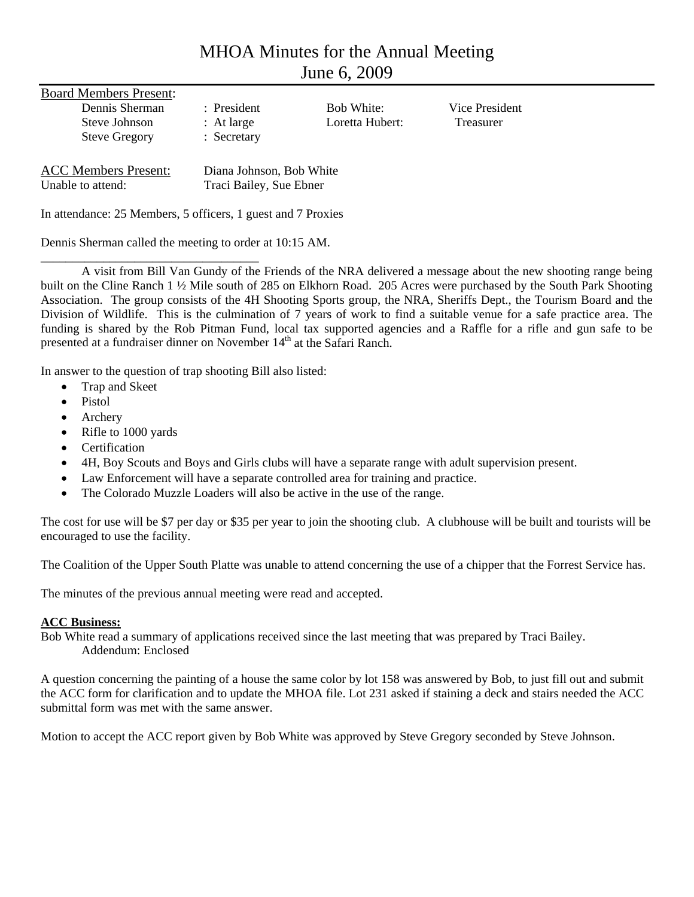# MHOA Minutes for the Annual Meeting June 6, 2009

| <b>Board Members Present:</b>                    |                                                     |                                      |                                    |
|--------------------------------------------------|-----------------------------------------------------|--------------------------------------|------------------------------------|
| Dennis Sherman<br>Steve Johnson                  | $:$ President<br>: At large                         | <b>Bob White:</b><br>Loretta Hubert: | Vice President<br><b>Treasurer</b> |
| <b>Steve Gregory</b>                             | : Secretary                                         |                                      |                                    |
| <b>ACC Members Present:</b><br>Unable to attend: | Diana Johnson, Bob White<br>Traci Bailey, Sue Ebner |                                      |                                    |

In attendance: 25 Members, 5 officers, 1 guest and 7 Proxies

Dennis Sherman called the meeting to order at 10:15 AM.

\_\_\_\_\_\_\_\_\_\_\_\_\_\_\_\_\_\_\_\_\_\_\_\_\_\_\_\_\_\_\_\_\_\_\_

A visit from Bill Van Gundy of the Friends of the NRA delivered a message about the new shooting range being built on the Cline Ranch 1 ½ Mile south of 285 on Elkhorn Road. 205 Acres were purchased by the South Park Shooting Association. The group consists of the 4H Shooting Sports group, the NRA, Sheriffs Dept., the Tourism Board and the Division of Wildlife. This is the culmination of 7 years of work to find a suitable venue for a safe practice area. The funding is shared by the Rob Pitman Fund, local tax supported agencies and a Raffle for a rifle and gun safe to be presented at a fundraiser dinner on November 14<sup>th</sup> at the Safari Ranch.

In answer to the question of trap shooting Bill also listed:

- Trap and Skeet
- Pistol
- **Archery**
- Rifle to 1000 yards
- **Certification**
- 4H, Boy Scouts and Boys and Girls clubs will have a separate range with adult supervision present.
- Law Enforcement will have a separate controlled area for training and practice.
- The Colorado Muzzle Loaders will also be active in the use of the range.

The cost for use will be \$7 per day or \$35 per year to join the shooting club. A clubhouse will be built and tourists will be encouraged to use the facility.

The Coalition of the Upper South Platte was unable to attend concerning the use of a chipper that the Forrest Service has.

The minutes of the previous annual meeting were read and accepted.

# **ACC Business:**

Bob White read a summary of applications received since the last meeting that was prepared by Traci Bailey. Addendum: Enclosed

A question concerning the painting of a house the same color by lot 158 was answered by Bob, to just fill out and submit the ACC form for clarification and to update the MHOA file. Lot 231 asked if staining a deck and stairs needed the ACC submittal form was met with the same answer.

Motion to accept the ACC report given by Bob White was approved by Steve Gregory seconded by Steve Johnson.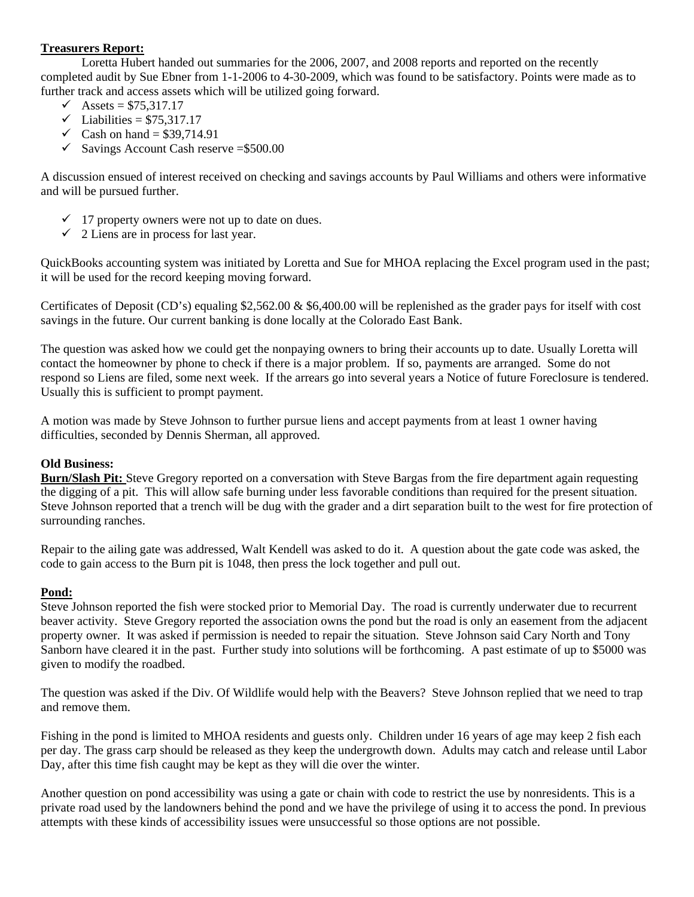# **Treasurers Report:**

Loretta Hubert handed out summaries for the 2006, 2007, and 2008 reports and reported on the recently completed audit by Sue Ebner from 1-1-2006 to 4-30-2009, which was found to be satisfactory. Points were made as to further track and access assets which will be utilized going forward.

- $\checkmark$  Assets = \$75,317.17
- $\checkmark$  Liabilities = \$75,317.17
- $\checkmark$  Cash on hand = \$39,714.91
- $\checkmark$  Savings Account Cash reserve = \$500.00

A discussion ensued of interest received on checking and savings accounts by Paul Williams and others were informative and will be pursued further.

- $\checkmark$  17 property owners were not up to date on dues.
- $\checkmark$  2 Liens are in process for last year.

QuickBooks accounting system was initiated by Loretta and Sue for MHOA replacing the Excel program used in the past; it will be used for the record keeping moving forward.

Certificates of Deposit (CD's) equaling \$2,562.00 & \$6,400.00 will be replenished as the grader pays for itself with cost savings in the future. Our current banking is done locally at the Colorado East Bank.

The question was asked how we could get the nonpaying owners to bring their accounts up to date. Usually Loretta will contact the homeowner by phone to check if there is a major problem. If so, payments are arranged. Some do not respond so Liens are filed, some next week. If the arrears go into several years a Notice of future Foreclosure is tendered. Usually this is sufficient to prompt payment.

A motion was made by Steve Johnson to further pursue liens and accept payments from at least 1 owner having difficulties, seconded by Dennis Sherman, all approved.

## **Old Business:**

**Burn/Slash Pit:** Steve Gregory reported on a conversation with Steve Bargas from the fire department again requesting the digging of a pit. This will allow safe burning under less favorable conditions than required for the present situation. Steve Johnson reported that a trench will be dug with the grader and a dirt separation built to the west for fire protection of surrounding ranches.

Repair to the ailing gate was addressed, Walt Kendell was asked to do it. A question about the gate code was asked, the code to gain access to the Burn pit is 1048, then press the lock together and pull out.

## **Pond:**

Steve Johnson reported the fish were stocked prior to Memorial Day. The road is currently underwater due to recurrent beaver activity. Steve Gregory reported the association owns the pond but the road is only an easement from the adjacent property owner. It was asked if permission is needed to repair the situation. Steve Johnson said Cary North and Tony Sanborn have cleared it in the past. Further study into solutions will be forthcoming. A past estimate of up to \$5000 was given to modify the roadbed.

The question was asked if the Div. Of Wildlife would help with the Beavers? Steve Johnson replied that we need to trap and remove them.

Fishing in the pond is limited to MHOA residents and guests only. Children under 16 years of age may keep 2 fish each per day. The grass carp should be released as they keep the undergrowth down. Adults may catch and release until Labor Day, after this time fish caught may be kept as they will die over the winter.

Another question on pond accessibility was using a gate or chain with code to restrict the use by nonresidents. This is a private road used by the landowners behind the pond and we have the privilege of using it to access the pond. In previous attempts with these kinds of accessibility issues were unsuccessful so those options are not possible.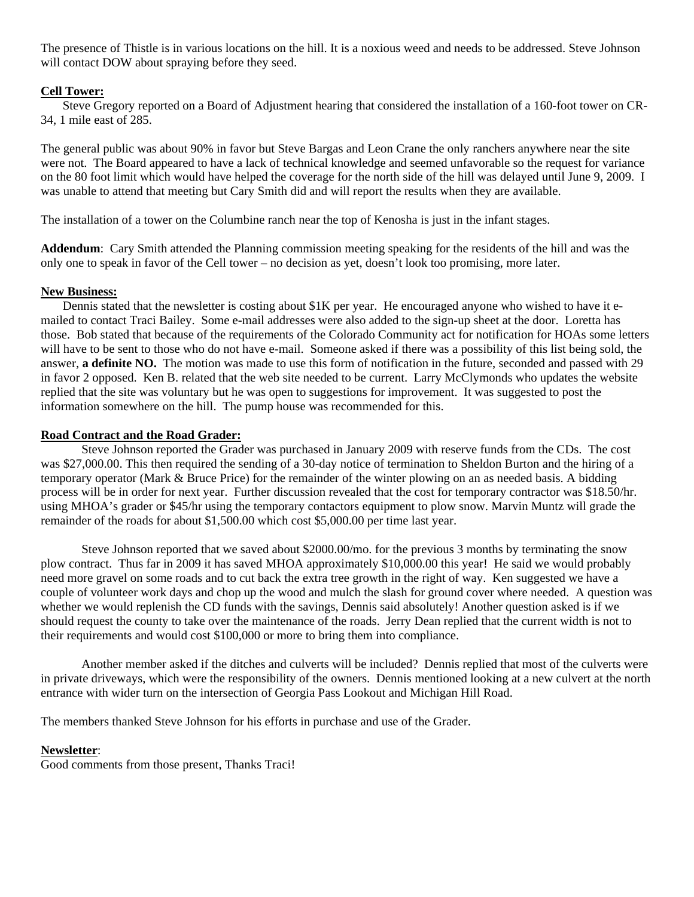The presence of Thistle is in various locations on the hill. It is a noxious weed and needs to be addressed. Steve Johnson will contact DOW about spraying before they seed.

## **Cell Tower:**

 Steve Gregory reported on a Board of Adjustment hearing that considered the installation of a 160-foot tower on CR-34, 1 mile east of 285.

The general public was about 90% in favor but Steve Bargas and Leon Crane the only ranchers anywhere near the site were not. The Board appeared to have a lack of technical knowledge and seemed unfavorable so the request for variance on the 80 foot limit which would have helped the coverage for the north side of the hill was delayed until June 9, 2009. I was unable to attend that meeting but Cary Smith did and will report the results when they are available.

The installation of a tower on the Columbine ranch near the top of Kenosha is just in the infant stages.

**Addendum**: Cary Smith attended the Planning commission meeting speaking for the residents of the hill and was the only one to speak in favor of the Cell tower – no decision as yet, doesn't look too promising, more later.

#### **New Business:**

 Dennis stated that the newsletter is costing about \$1K per year. He encouraged anyone who wished to have it emailed to contact Traci Bailey. Some e-mail addresses were also added to the sign-up sheet at the door. Loretta has those. Bob stated that because of the requirements of the Colorado Community act for notification for HOAs some letters will have to be sent to those who do not have e-mail. Someone asked if there was a possibility of this list being sold, the answer, **a definite NO.** The motion was made to use this form of notification in the future, seconded and passed with 29 in favor 2 opposed. Ken B. related that the web site needed to be current. Larry McClymonds who updates the website replied that the site was voluntary but he was open to suggestions for improvement. It was suggested to post the information somewhere on the hill. The pump house was recommended for this.

#### **Road Contract and the Road Grader:**

Steve Johnson reported the Grader was purchased in January 2009 with reserve funds from the CDs. The cost was \$27,000.00. This then required the sending of a 30-day notice of termination to Sheldon Burton and the hiring of a temporary operator (Mark & Bruce Price) for the remainder of the winter plowing on an as needed basis. A bidding process will be in order for next year. Further discussion revealed that the cost for temporary contractor was \$18.50/hr. using MHOA's grader or \$45/hr using the temporary contactors equipment to plow snow. Marvin Muntz will grade the remainder of the roads for about \$1,500.00 which cost \$5,000.00 per time last year.

Steve Johnson reported that we saved about \$2000.00/mo. for the previous 3 months by terminating the snow plow contract. Thus far in 2009 it has saved MHOA approximately \$10,000.00 this year! He said we would probably need more gravel on some roads and to cut back the extra tree growth in the right of way. Ken suggested we have a couple of volunteer work days and chop up the wood and mulch the slash for ground cover where needed. A question was whether we would replenish the CD funds with the savings, Dennis said absolutely! Another question asked is if we should request the county to take over the maintenance of the roads. Jerry Dean replied that the current width is not to their requirements and would cost \$100,000 or more to bring them into compliance.

Another member asked if the ditches and culverts will be included? Dennis replied that most of the culverts were in private driveways, which were the responsibility of the owners. Dennis mentioned looking at a new culvert at the north entrance with wider turn on the intersection of Georgia Pass Lookout and Michigan Hill Road.

The members thanked Steve Johnson for his efforts in purchase and use of the Grader.

## **Newsletter**:

Good comments from those present, Thanks Traci!